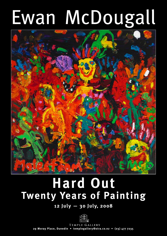# Ewan McDougall



# **Hard Out Twenty Years of Painting**

## **12 July — 30 July, 2008**



TEMPLE GALLERY **29 Moray Place, Dunedin • templegallery@xtra.co.nz • (03) 477 7235**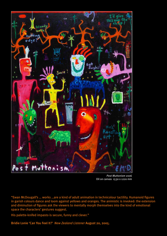

*Post Muttonism* 2006 Oil on canvas 1530 x 1220 mm

"Ewan McDougall's … works …are a kind of adult animation in technicolour tactility. Humanoid figures in garish colours dance and loom against yellows and oranges. The animistic is invoked: the extension and diminution of figures ask the viewers to mentally morph themselves into the kind of emotional space the characters' gestures suggest.

His palette-knifed impasto is secure, funny and clever."

Bridie Lonie 'Can You Feel It?' *New Zealand Listener* August 20, 2005.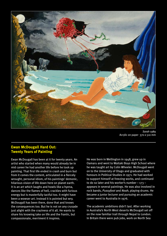

*Sarah* 1989 Acrylic on paper 370 x 510 mm

#### **Ewan McDougall Hard Out: Twenty Years of Painting**

Ewan McDougall has been at it for twenty years. An artist who started when many would already be in mid career he had another life before he took up painting. That first life ended in crash and burn but from it comes the content, articulated in a fiercely wrought, personal idiom, of his paintings' demonic, hilarious vision of life down here on planet earth. It is an art which laughs and howls like a hyena, dances like the flames of hell, crackles with furious energy but is masterfully tactful too. It might have been a wowser art. Instead it is pointed but wry. McDougall has been there, done that and knows the consequences too. But he is not on any crusade just alight with the craziness of it all. He wants to share his knowing take on life and the frantic, but compassionate, merriment it inspires.

He was born in Wellington in 1948, grew up in Oamaru and went to Waitaki Boys High School where he was taught art by Colin Wheeler. McDougall went on to the University of Otago and graduated with honours in Political Studies in 1971. He had worked to support himself at freezing works, and continued to do so later and his worker's number  $-173$ appears in several paintings. He was also involved in rock bands, *Pussyfoot* and *Noah*, playing drums. He became a junior lecturer and pursuing an academic career went to Australia in 1976.

The academic ambitions didn't last. After working in Australia's North West deserts McDougall set off on the now familiar trail through Nepal to London. In Britain there were pub jobs, work on North Sea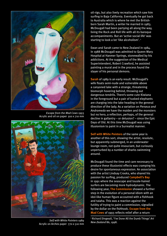

*Escape from the Mad Cows* 1993 Acrylic and oil on paper 910 x 710 mm



*Self with White Pointers* 1989 Acrylic on Arches paper 770 x 510 mm

oil-rigs, but also lively recreation which saw him surfing in Baja California. Eventually he got back to Australia which is where he met the Britishborn Sarah Martin, a writer he married in 1983. McDougall had been partying all along the way, living the Rock and Roll life with all its baroque accompaniments. But an 'active social life' was starting to look a lot 'like alcoholism'.<sup>1</sup>

Ewan and Sarah came to New Zealand in 1984. In 1988 McDougall was admitted to Queen Mary Hospital at Hanmer Springs, stonewalled by his addictions. At the suggestion of the Medical Superintendent, Robert Crawford, he assisted painting a mural and in the process found the slayer of his personal demons.

**Sarah** of 1989 is an early result. McDougall's wife floats semi-nude and vulnerable above a canyoned lake with a strange, threatening biomorph hovering behind, throwing out dangerous tendrils. There's some cute Kiwiana in the foreground but a pair of tusked elephants are charging into the lake heading in the general direction of the lady. As a variation on *Perseus and Andromeda* we have the maiden and the monsters but no hero, a reflection, perhaps, of the general decline in gallantry – or delusion? – since the Epic Days of Old. At this time McDougall was using illusionism to paint in a Surrealist manner.

**Self with White Pointers** of the same year is another of this sort, showing the artist, resolute, but apparently submerged, in an underwater lounge room, not quite insouciant, but curiously unperturbed by a number of sharks swimming around.

McDougall found the time and care necessary to produce these illusionist effects was cramping his desire for spontaneous expression. An association with the artist Lindsay Crooks, who shared his passion for surfing, produced **Campbell's Bay** in 1991 where the seascape and tousle-haired surfers are becoming more hydrodynamic. The following year, **The Commission** showed a further step in the evolution of a personal idiom with an idol-like human figure accoutred with a fishhook and taiaha. This was a reaction against the futility of trying to paint a commission, signalled by the dollar on the fishhook. **Escape from the Mad Cows** of 1993 reflects relief after a return

1 Richard Dingwall, 'I've Done All the Dumb Things' *Art New Zealand* 86, 1998.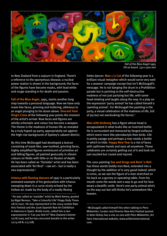

*Fall of the Blue Angel* 1995 Oil on board 330 x 900 mm

to New Zealand from a sojourn in England. There's a reference to the eponymous disease; a nuclear power station is shown in the background; the faces of the figures have become masks, with lead white and rouge standing in for death and passion.

**Fall of the Blue Angel**, 1995, marks another long step towards a personal language. Now we have only mask-like faces, grinning and hollering, oblivious to an angel plunging to his doom above. **Descent from King's Cross** of the following year points the moment of the artist's arrival. Now faces and figures are wholly schematic and colour has become a weapon. The theme is the madness of human life as revealed by a truly hyped-up party, appropriately set against the high-rise background of Sydney's cabaret district.

By this time McDougall had developed a lexicon consisting of mask-like, saw-toothed, grinning faces, highly simplified figures reminiscent of primitive art and falling figures, all painted gesturally in vibrant colours on fields with little or no illusion of depth. He has been called an 'Outsider' artist and has been associated with 'Art Brut' – raw art – but is really a neo-expressionist.2

**Icharus with flaming dancers** of 1997 is a particularly animated example of his gesturalism with Icharus swooping down in a curve nicely echoed by the hollow arc made by the body of a madly flexing

2 He was called an 'outsider' artist by Mark Amery, quoted by Nigel Benson, 'Take a Colourful Life' Otago Daily Times 28/6/2007. He was represented in the 2004 London Raw Arts Festival and the 2006 Spanish Raw Art Exhibition in Valencia in Spain. Bridie Lonie, called him a neoexpressionist in 'Can you feel it?' New Zealand Listener 20/8/2005 and he has concurred (emails to the writer 22/4/08 & 2/5/08).

limbo dancer. **Man 1/2 Cut** of the following year is a brilliant visual metaphor which would serve very well for a wowser campaign except that isn't McDougall's message. He is not banging the drum in a Prohibition parade but is pointing to the self-destructive madness of not just partying but life, with some head-shaking and laughs along the way. In a play on the expression 'party animal' he has called himself a 'painting animal'. For McDougall the painting is the party, a visual celebration of the madness of life, full of joy but not overlooking the horror.3

**Man with birdsong** has a figure whose head is encapsulated in what looks like an inverted bottle. He is surrounded and menaced by fanged avifauna which seem more like pterodactyls than birds. Life is pretty savage and perhaps a man needs a bottle in which to hide. **Happy New Year** is a riot of faces with upthrown hands and eyes all anywhere. These celebrants are certainly getting out of it and look not just sozzled but crazed and injured.

The 2001 painting **Sex and Drugs and Rock 'n Roll** has these words boldly inscribed, extended into a thought by the addition of *is very good indeed*, which is ironic, as we see the figure of a man stretched on his back on a gurney or operating table. From his mouth come the words *wot a way to go* and his face wears a beatific smile. Here's one party animal who's on the way out but still thinks he's somewhere like heaven.

3 McDougall called himself this when talking to Piers Midwinter, Curator and Director Raw Arts Festival quoted in *Kate Hickey has a one on one with Piers Midwinter*, Art Fairs International website, www.artfairsinternational. com.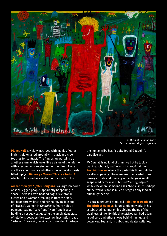

*The Birth of Heinous* 2007 Oil on canvas 1850 x 2150 mm

**Planet Hell** is vividly inscribed with maniac figures in rich gold on a red ground with black and green touches for contrast. The figures are partying up another storm which looks like a vision of the inferno with a recumbent skeleton under their feet. There are the same colours and others too in the gloriously titled diptych **Gimme ya Money! This is a Fuckup!** which could stand as a metaphor for much of life.

**Are we there yet? (after Gauguin)** is a large jamboree of stick-legged people, apparently happening in space. There is a two-headed dog, a skeleton in a cage and a woman streaking in from the side, her head thrown back and her hair flying like one of Picasso's women in *Guernica*. A figure holds a pennant reading "Love" and "Hate" and is also holding a nosegay suggesting the ambivalent state of relations between the sexes. An inscription reads "Where th' Fukawi", leaving us to wonder if perhaps

the human tribe hasn't quite found Gauguin 's paradise yet.

McDougall is no kind of primitive but he took a crack at scholarly waffle with his 2006 painting **Post Muttonism** where the party this time could be a gallery opening. There are inscribed verbal puns mixing art talk and freezing works lingo. A small suspended carcase is subtitled "cutting edge?" while elsewhere someone asks "Got sushi?" Perhaps all the world is not so much a stage as any kind of human gathering.

In 2007 McDougall produced **Painting or Death** and **The Birth of Heinous**, large confident works in his established manner on his abiding theme of the craziness of life. By this time McDougall had a long list of solo and other shows behind him, up and down New Zealand, in public and dealer galleries,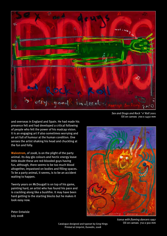

and overseas in England and Spain. He had made his presence felt and had developed a critical following of people who felt the power of his madcap vision. It is an engaging art if also sometimes worrying and an art full of humour at the human condition. One senses the artist shaking his head and chuckling at the fun and folly.

**Malestrom**, of 2008, is on the plight of the party animal. Its day-glo colours and hectic energy leave little doubt these are red-blooded guys having fun, although, there seems to be too much blood altogether, impastoed on bodies and filling spaces. To be a party animal, it seems, is to be an accident waiting to happen.

Twenty years on McDougall is on top of his game, painting hard, an artist who has found his pace and is crackling along like a bushfire. It may have been hard getting to the starting blocks but he makes it look easy now.



Peter Entwisle July 2008

*Icarus with flaming dancers* 1997 Oil on canvas 710 x 910 mm

Oil on canvas 700 x 1450 mm

Catalogue designed and typeset by Greg Hings Printed at Uniprint, Dunedin, 2008